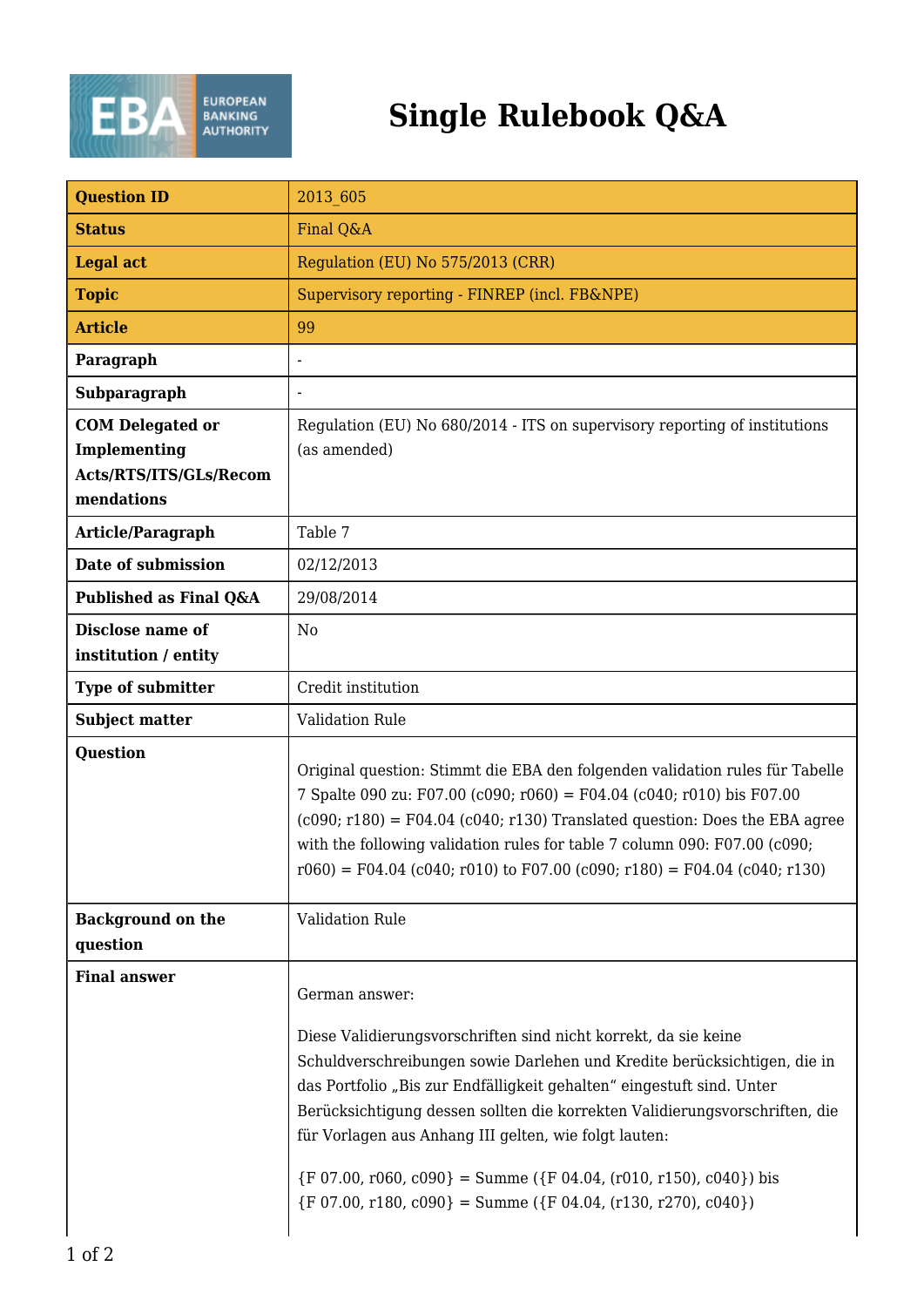

## **Single Rulebook Q&A**

| <b>Question ID</b>                                                              | 2013 605                                                                                                                                                                                                                                                                                                                                                                                                                                                                                                                                             |
|---------------------------------------------------------------------------------|------------------------------------------------------------------------------------------------------------------------------------------------------------------------------------------------------------------------------------------------------------------------------------------------------------------------------------------------------------------------------------------------------------------------------------------------------------------------------------------------------------------------------------------------------|
| <b>Status</b>                                                                   | Final Q&A                                                                                                                                                                                                                                                                                                                                                                                                                                                                                                                                            |
| <b>Legal act</b>                                                                | Regulation (EU) No 575/2013 (CRR)                                                                                                                                                                                                                                                                                                                                                                                                                                                                                                                    |
| <b>Topic</b>                                                                    | Supervisory reporting - FINREP (incl. FB&NPE)                                                                                                                                                                                                                                                                                                                                                                                                                                                                                                        |
| <b>Article</b>                                                                  | 99                                                                                                                                                                                                                                                                                                                                                                                                                                                                                                                                                   |
| Paragraph                                                                       |                                                                                                                                                                                                                                                                                                                                                                                                                                                                                                                                                      |
| Subparagraph                                                                    |                                                                                                                                                                                                                                                                                                                                                                                                                                                                                                                                                      |
| <b>COM Delegated or</b><br>Implementing<br>Acts/RTS/ITS/GLs/Recom<br>mendations | Regulation (EU) No 680/2014 - ITS on supervisory reporting of institutions<br>(as amended)                                                                                                                                                                                                                                                                                                                                                                                                                                                           |
| <b>Article/Paragraph</b>                                                        | Table 7                                                                                                                                                                                                                                                                                                                                                                                                                                                                                                                                              |
| Date of submission                                                              | 02/12/2013                                                                                                                                                                                                                                                                                                                                                                                                                                                                                                                                           |
| Published as Final Q&A                                                          | 29/08/2014                                                                                                                                                                                                                                                                                                                                                                                                                                                                                                                                           |
| Disclose name of<br>institution / entity                                        | No                                                                                                                                                                                                                                                                                                                                                                                                                                                                                                                                                   |
| <b>Type of submitter</b>                                                        | Credit institution                                                                                                                                                                                                                                                                                                                                                                                                                                                                                                                                   |
| <b>Subject matter</b>                                                           | <b>Validation Rule</b>                                                                                                                                                                                                                                                                                                                                                                                                                                                                                                                               |
| <b>Question</b>                                                                 | Original question: Stimmt die EBA den folgenden validation rules für Tabelle<br>7 Spalte 090 zu: F07.00 (c090; r060) = F04.04 (c040; r010) bis F07.00<br>$(c090; r180) = F04.04$ $(c040; r130)$ Translated question: Does the EBA agree<br>with the following validation rules for table 7 column 090: F07.00 (c090;<br>$r060$ = F04.04 (c040; r010) to F07.00 (c090; r180) = F04.04 (c040; r130)                                                                                                                                                    |
| <b>Background on the</b><br>question                                            | Validation Rule                                                                                                                                                                                                                                                                                                                                                                                                                                                                                                                                      |
| <b>Final answer</b>                                                             | German answer:<br>Diese Validierungsvorschriften sind nicht korrekt, da sie keine<br>Schuldverschreibungen sowie Darlehen und Kredite berücksichtigen, die in<br>das Portfolio "Bis zur Endfälligkeit gehalten" eingestuft sind. Unter<br>Berücksichtigung dessen sollten die korrekten Validierungsvorschriften, die<br>für Vorlagen aus Anhang III gelten, wie folgt lauten:<br>$\{F\ 07.00, r060, c090\} = \text{Summe } (\{F\ 04.04, (r010, r150), c040\})$ bis<br>$\{F\ 07.00, r180, c090\} = \text{Summe } (\{F\ 04.04, (r130, r270), c040\})$ |